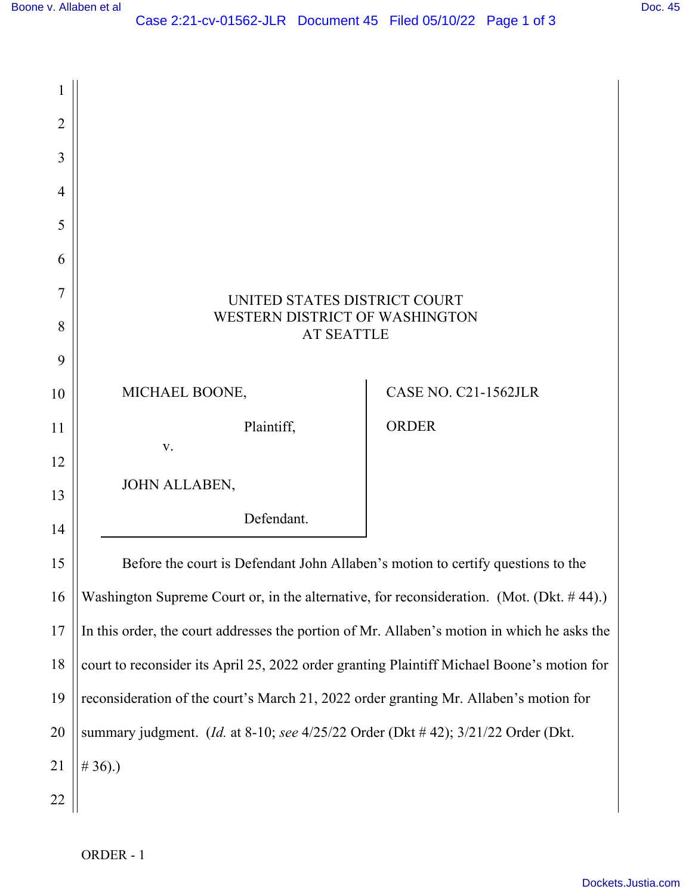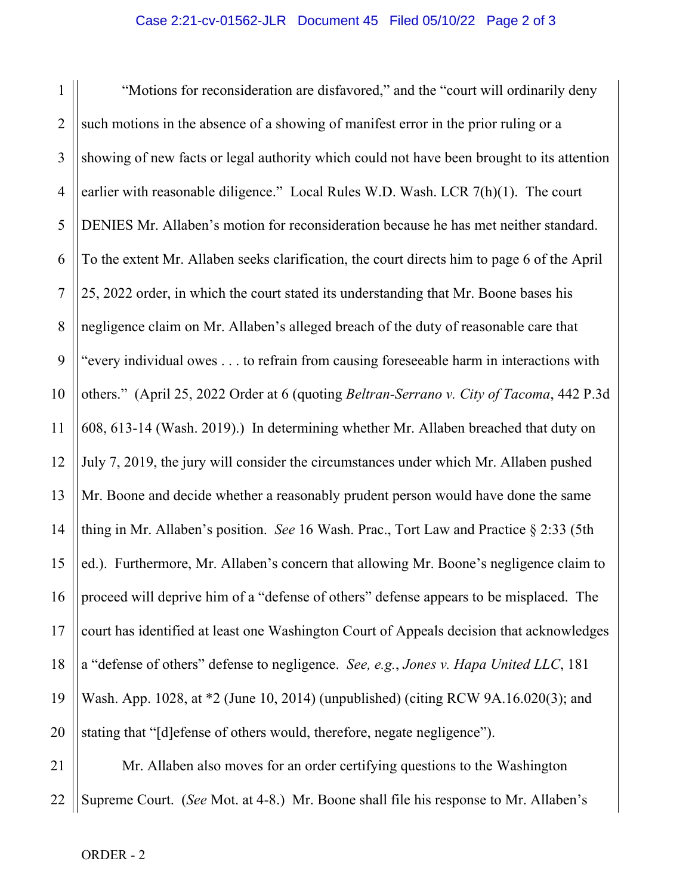1 2 3 4 5 6 7 8 9 10 11 12 13 14 15 16 17 18 19 20 "Motions for reconsideration are disfavored," and the "court will ordinarily deny such motions in the absence of a showing of manifest error in the prior ruling or a showing of new facts or legal authority which could not have been brought to its attention earlier with reasonable diligence." Local Rules W.D. Wash. LCR 7(h)(1). The court DENIES Mr. Allaben's motion for reconsideration because he has met neither standard. To the extent Mr. Allaben seeks clarification, the court directs him to page 6 of the April 25, 2022 order, in which the court stated its understanding that Mr. Boone bases his negligence claim on Mr. Allaben's alleged breach of the duty of reasonable care that "every individual owes . . . to refrain from causing foreseeable harm in interactions with others." (April 25, 2022 Order at 6 (quoting *Beltran-Serrano v. City of Tacoma*, 442 P.3d 608, 613-14 (Wash. 2019).) In determining whether Mr. Allaben breached that duty on July 7, 2019, the jury will consider the circumstances under which Mr. Allaben pushed Mr. Boone and decide whether a reasonably prudent person would have done the same thing in Mr. Allaben's position. *See* 16 Wash. Prac., Tort Law and Practice § 2:33 (5th ed.). Furthermore, Mr. Allaben's concern that allowing Mr. Boone's negligence claim to proceed will deprive him of a "defense of others" defense appears to be misplaced. The court has identified at least one Washington Court of Appeals decision that acknowledges a "defense of others" defense to negligence. *See, e.g.*, *Jones v. Hapa United LLC*, 181 Wash. App. 1028, at \*2 (June 10, 2014) (unpublished) (citing RCW 9A.16.020(3); and stating that "[d]efense of others would, therefore, negate negligence").

21 22 Mr. Allaben also moves for an order certifying questions to the Washington Supreme Court. (*See* Mot. at 4-8.) Mr. Boone shall file his response to Mr. Allaben's